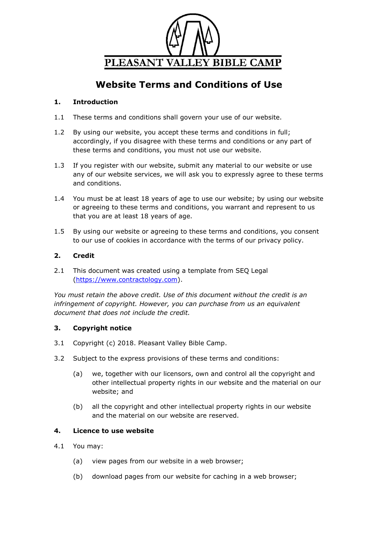

# **Website Terms and Conditions of Use**

# **1. Introduction**

- 1.1 These terms and conditions shall govern your use of our website.
- 1.2 By using our website, you accept these terms and conditions in full; accordingly, if you disagree with these terms and conditions or any part of these terms and conditions, you must not use our website.
- 1.3 If you register with our website, submit any material to our website or use any of our website services, we will ask you to expressly agree to these terms and conditions.
- 1.4 You must be at least 18 years of age to use our website; by using our website or agreeing to these terms and conditions, you warrant and represent to us that you are at least 18 years of age.
- 1.5 By using our website or agreeing to these terms and conditions, you consent to our use of cookies in accordance with the terms of our privacy policy.

# **2. Credit**

2.1 This document was created using a template from SEQ Legal [\(https://www.contractology.com\)](https://www.contractology.com/).

*You must retain the above credit. Use of this document without the credit is an infringement of copyright. However, you can purchase from us an equivalent document that does not include the credit.*

# **3. Copyright notice**

- 3.1 Copyright (c) 2018. Pleasant Valley Bible Camp.
- 3.2 Subject to the express provisions of these terms and conditions:
	- (a) we, together with our licensors, own and control all the copyright and other intellectual property rights in our website and the material on our website; and
	- (b) all the copyright and other intellectual property rights in our website and the material on our website are reserved.

# **4. Licence to use website**

- 4.1 You may:
	- (a) view pages from our website in a web browser;
	- (b) download pages from our website for caching in a web browser;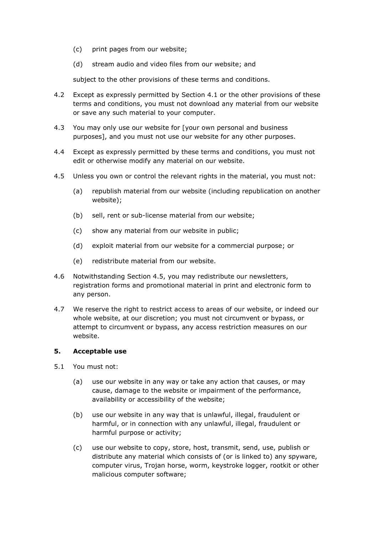- (c) print pages from our website;
- (d) stream audio and video files from our website; and

subject to the other provisions of these terms and conditions.

- 4.2 Except as expressly permitted by Section 4.1 or the other provisions of these terms and conditions, you must not download any material from our website or save any such material to your computer.
- 4.3 You may only use our website for [your own personal and business purposes], and you must not use our website for any other purposes.
- 4.4 Except as expressly permitted by these terms and conditions, you must not edit or otherwise modify any material on our website.
- 4.5 Unless you own or control the relevant rights in the material, you must not:
	- (a) republish material from our website (including republication on another website);
	- (b) sell, rent or sub-license material from our website;
	- (c) show any material from our website in public;
	- (d) exploit material from our website for a commercial purpose; or
	- (e) redistribute material from our website.
- 4.6 Notwithstanding Section 4.5, you may redistribute our newsletters, registration forms and promotional material in print and electronic form to any person.
- 4.7 We reserve the right to restrict access to areas of our website, or indeed our whole website, at our discretion; you must not circumvent or bypass, or attempt to circumvent or bypass, any access restriction measures on our website.

## **5. Acceptable use**

- 5.1 You must not:
	- (a) use our website in any way or take any action that causes, or may cause, damage to the website or impairment of the performance, availability or accessibility of the website;
	- (b) use our website in any way that is unlawful, illegal, fraudulent or harmful, or in connection with any unlawful, illegal, fraudulent or harmful purpose or activity;
	- (c) use our website to copy, store, host, transmit, send, use, publish or distribute any material which consists of (or is linked to) any spyware, computer virus, Trojan horse, worm, keystroke logger, rootkit or other malicious computer software;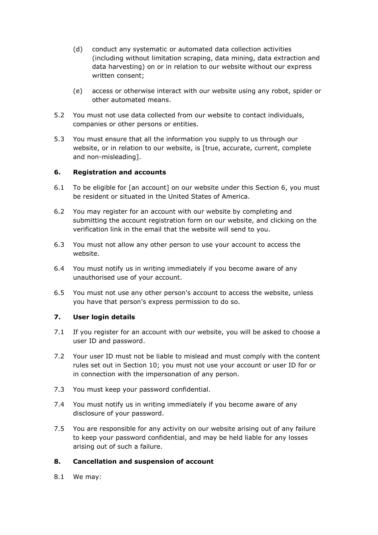- (d) conduct any systematic or automated data collection activities (including without limitation scraping, data mining, data extraction and data harvesting) on or in relation to our website without our express written consent;
- (e) access or otherwise interact with our website using any robot, spider or other automated means.
- 5.2 You must not use data collected from our website to contact individuals, companies or other persons or entities.
- 5.3 You must ensure that all the information you supply to us through our website, or in relation to our website, is [true, accurate, current, complete and non-misleading].

## **6. Registration and accounts**

- 6.1 To be eligible for [an account] on our website under this Section 6, you must be resident or situated in the United States of America.
- 6.2 You may register for an account with our website by completing and submitting the account registration form on our website, and clicking on the verification link in the email that the website will send to you.
- 6.3 You must not allow any other person to use your account to access the website.
- 6.4 You must notify us in writing immediately if you become aware of any unauthorised use of your account.
- 6.5 You must not use any other person's account to access the website, unless you have that person's express permission to do so.

## **7. User login details**

- 7.1 If you register for an account with our website, you will be asked to choose a user ID and password.
- 7.2 Your user ID must not be liable to mislead and must comply with the content rules set out in Section 10; you must not use your account or user ID for or in connection with the impersonation of any person.
- 7.3 You must keep your password confidential.
- 7.4 You must notify us in writing immediately if you become aware of any disclosure of your password.
- 7.5 You are responsible for any activity on our website arising out of any failure to keep your password confidential, and may be held liable for any losses arising out of such a failure.

# **8. Cancellation and suspension of account**

8.1 We may: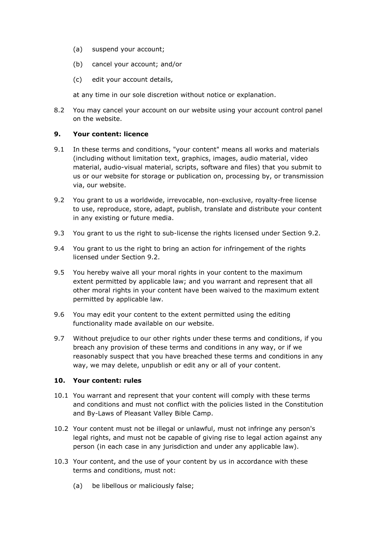- (a) suspend your account;
- (b) cancel your account; and/or
- (c) edit your account details,

at any time in our sole discretion without notice or explanation.

8.2 You may cancel your account on our website using your account control panel on the website.

## **9. Your content: licence**

- 9.1 In these terms and conditions, "your content" means all works and materials (including without limitation text, graphics, images, audio material, video material, audio-visual material, scripts, software and files) that you submit to us or our website for storage or publication on, processing by, or transmission via, our website.
- 9.2 You grant to us a worldwide, irrevocable, non-exclusive, royalty-free license to use, reproduce, store, adapt, publish, translate and distribute your content in any existing or future media.
- 9.3 You grant to us the right to sub-license the rights licensed under Section 9.2.
- 9.4 You grant to us the right to bring an action for infringement of the rights licensed under Section 9.2.
- 9.5 You hereby waive all your moral rights in your content to the maximum extent permitted by applicable law; and you warrant and represent that all other moral rights in your content have been waived to the maximum extent permitted by applicable law.
- 9.6 You may edit your content to the extent permitted using the editing functionality made available on our website.
- 9.7 Without prejudice to our other rights under these terms and conditions, if you breach any provision of these terms and conditions in any way, or if we reasonably suspect that you have breached these terms and conditions in any way, we may delete, unpublish or edit any or all of your content.

#### **10. Your content: rules**

- 10.1 You warrant and represent that your content will comply with these terms and conditions and must not conflict with the policies listed in the Constitution and By-Laws of Pleasant Valley Bible Camp.
- 10.2 Your content must not be illegal or unlawful, must not infringe any person's legal rights, and must not be capable of giving rise to legal action against any person (in each case in any jurisdiction and under any applicable law).
- 10.3 Your content, and the use of your content by us in accordance with these terms and conditions, must not:
	- (a) be libellous or maliciously false;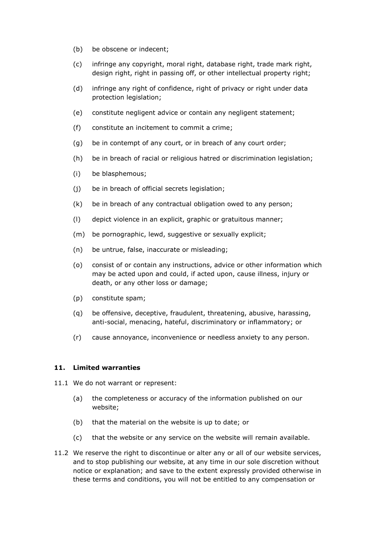- (b) be obscene or indecent;
- (c) infringe any copyright, moral right, database right, trade mark right, design right, right in passing off, or other intellectual property right;
- (d) infringe any right of confidence, right of privacy or right under data protection legislation;
- (e) constitute negligent advice or contain any negligent statement;
- (f) constitute an incitement to commit a crime;
- (g) be in contempt of any court, or in breach of any court order;
- (h) be in breach of racial or religious hatred or discrimination legislation;
- (i) be blasphemous;
- (j) be in breach of official secrets legislation;
- (k) be in breach of any contractual obligation owed to any person;
- (l) depict violence in an explicit, graphic or gratuitous manner;
- (m) be pornographic, lewd, suggestive or sexually explicit;
- (n) be untrue, false, inaccurate or misleading;
- (o) consist of or contain any instructions, advice or other information which may be acted upon and could, if acted upon, cause illness, injury or death, or any other loss or damage;
- (p) constitute spam;
- (q) be offensive, deceptive, fraudulent, threatening, abusive, harassing, anti-social, menacing, hateful, discriminatory or inflammatory; or
- (r) cause annoyance, inconvenience or needless anxiety to any person.

#### **11. Limited warranties**

- 11.1 We do not warrant or represent:
	- (a) the completeness or accuracy of the information published on our website;
	- (b) that the material on the website is up to date; or
	- (c) that the website or any service on the website will remain available.
- 11.2 We reserve the right to discontinue or alter any or all of our website services, and to stop publishing our website, at any time in our sole discretion without notice or explanation; and save to the extent expressly provided otherwise in these terms and conditions, you will not be entitled to any compensation or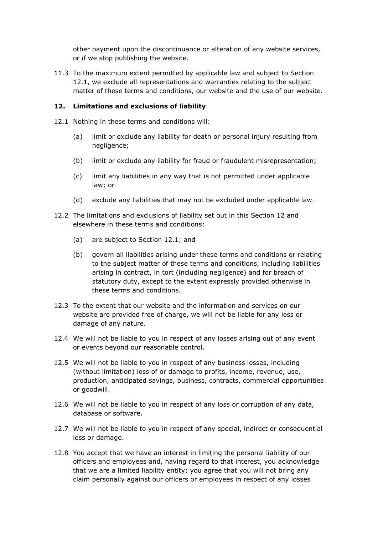other payment upon the discontinuance or alteration of any website services, or if we stop publishing the website.

11.3 To the maximum extent permitted by applicable law and subject to Section 12.1, we exclude all representations and warranties relating to the subject matter of these terms and conditions, our website and the use of our website.

## **12. Limitations and exclusions of liability**

- 12.1 Nothing in these terms and conditions will:
	- (a) limit or exclude any liability for death or personal injury resulting from negligence;
	- (b) limit or exclude any liability for fraud or fraudulent misrepresentation;
	- (c) limit any liabilities in any way that is not permitted under applicable law; or
	- (d) exclude any liabilities that may not be excluded under applicable law.
- 12.2 The limitations and exclusions of liability set out in this Section 12 and elsewhere in these terms and conditions:
	- (a) are subject to Section 12.1; and
	- (b) govern all liabilities arising under these terms and conditions or relating to the subject matter of these terms and conditions, including liabilities arising in contract, in tort (including negligence) and for breach of statutory duty, except to the extent expressly provided otherwise in these terms and conditions.
- 12.3 To the extent that our website and the information and services on our website are provided free of charge, we will not be liable for any loss or damage of any nature.
- 12.4 We will not be liable to you in respect of any losses arising out of any event or events beyond our reasonable control.
- 12.5 We will not be liable to you in respect of any business losses, including (without limitation) loss of or damage to profits, income, revenue, use, production, anticipated savings, business, contracts, commercial opportunities or goodwill.
- 12.6 We will not be liable to you in respect of any loss or corruption of any data, database or software.
- 12.7 We will not be liable to you in respect of any special, indirect or consequential loss or damage.
- 12.8 You accept that we have an interest in limiting the personal liability of our officers and employees and, having regard to that interest, you acknowledge that we are a limited liability entity; you agree that you will not bring any claim personally against our officers or employees in respect of any losses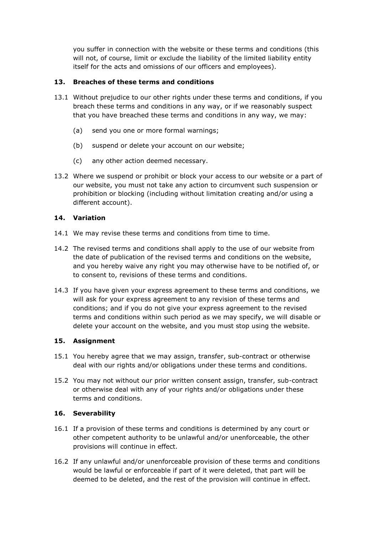you suffer in connection with the website or these terms and conditions (this will not, of course, limit or exclude the liability of the limited liability entity itself for the acts and omissions of our officers and employees).

# **13. Breaches of these terms and conditions**

- 13.1 Without prejudice to our other rights under these terms and conditions, if you breach these terms and conditions in any way, or if we reasonably suspect that you have breached these terms and conditions in any way, we may:
	- (a) send you one or more formal warnings;
	- (b) suspend or delete your account on our website;
	- (c) any other action deemed necessary.
- 13.2 Where we suspend or prohibit or block your access to our website or a part of our website, you must not take any action to circumvent such suspension or prohibition or blocking (including without limitation creating and/or using a different account).

# **14. Variation**

- 14.1 We may revise these terms and conditions from time to time.
- 14.2 The revised terms and conditions shall apply to the use of our website from the date of publication of the revised terms and conditions on the website, and you hereby waive any right you may otherwise have to be notified of, or to consent to, revisions of these terms and conditions.
- 14.3 If you have given your express agreement to these terms and conditions, we will ask for your express agreement to any revision of these terms and conditions; and if you do not give your express agreement to the revised terms and conditions within such period as we may specify, we will disable or delete your account on the website, and you must stop using the website.

# **15. Assignment**

- 15.1 You hereby agree that we may assign, transfer, sub-contract or otherwise deal with our rights and/or obligations under these terms and conditions.
- 15.2 You may not without our prior written consent assign, transfer, sub-contract or otherwise deal with any of your rights and/or obligations under these terms and conditions.

# **16. Severability**

- 16.1 If a provision of these terms and conditions is determined by any court or other competent authority to be unlawful and/or unenforceable, the other provisions will continue in effect.
- 16.2 If any unlawful and/or unenforceable provision of these terms and conditions would be lawful or enforceable if part of it were deleted, that part will be deemed to be deleted, and the rest of the provision will continue in effect.